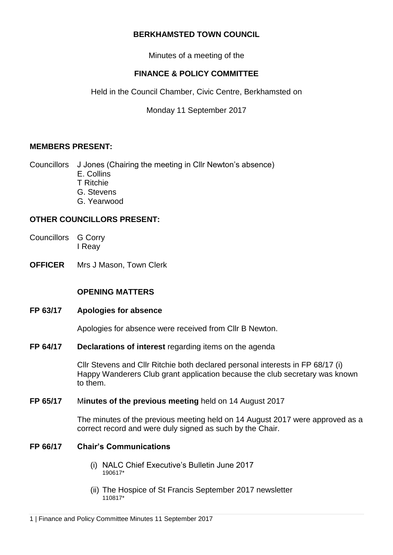## **BERKHAMSTED TOWN COUNCIL**

Minutes of a meeting of the

# **FINANCE & POLICY COMMITTEE**

Held in the Council Chamber, Civic Centre, Berkhamsted on

Monday 11 September 2017

## **MEMBERS PRESENT:**

Councillors J Jones (Chairing the meeting in Cllr Newton's absence) E. Collins T Ritchie

- G. Stevens
- G. Yearwood
- 

## **OTHER COUNCILLORS PRESENT:**

- Councillors G Corry I Reay
- **OFFICER** Mrs J Mason, Town Clerk

## **OPENING MATTERS**

**FP 63/17 Apologies for absence**

Apologies for absence were received from Cllr B Newton.

**FP 64/17 Declarations of interest** regarding items on the agenda

Cllr Stevens and Cllr Ritchie both declared personal interests in FP 68/17 (i) Happy Wanderers Club grant application because the club secretary was known to them.

### **FP 65/17** M**inutes of the previous meeting** held on 14 August 2017

The minutes of the previous meeting held on 14 August 2017 were approved as a correct record and were duly signed as such by the Chair.

### **FP 66/17 Chair's Communications**

- (i) NALC Chief Executive's Bulletin June 2017 190617\*
- (ii) The Hospice of St Francis September 2017 newsletter 110817\*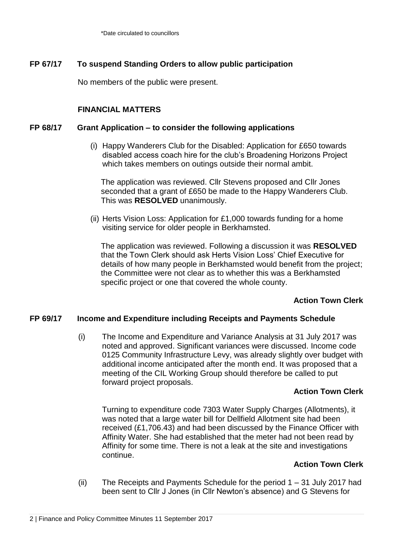## **FP 67/17 To suspend Standing Orders to allow public participation**

No members of the public were present.

### **FINANCIAL MATTERS**

### **FP 68/17 Grant Application – to consider the following applications**

(i) Happy Wanderers Club for the Disabled: Application for £650 towards disabled access coach hire for the club's Broadening Horizons Project which takes members on outings outside their normal ambit.

The application was reviewed. Cllr Stevens proposed and Cllr Jones seconded that a grant of £650 be made to the Happy Wanderers Club. This was **RESOLVED** unanimously.

(ii) Herts Vision Loss: Application for £1,000 towards funding for a home visiting service for older people in Berkhamsted.

The application was reviewed. Following a discussion it was **RESOLVED** that the Town Clerk should ask Herts Vision Loss' Chief Executive for details of how many people in Berkhamsted would benefit from the project; the Committee were not clear as to whether this was a Berkhamsted specific project or one that covered the whole county.

### **Action Town Clerk**

### **FP 69/17 Income and Expenditure including Receipts and Payments Schedule**

(i) The Income and Expenditure and Variance Analysis at 31 July 2017 was noted and approved. Significant variances were discussed. Income code 0125 Community Infrastructure Levy, was already slightly over budget with additional income anticipated after the month end. It was proposed that a meeting of the CIL Working Group should therefore be called to put forward project proposals.

### **Action Town Clerk**

Turning to expenditure code 7303 Water Supply Charges (Allotments), it was noted that a large water bill for Dellfield Allotment site had been received (£1,706.43) and had been discussed by the Finance Officer with Affinity Water. She had established that the meter had not been read by Affinity for some time. There is not a leak at the site and investigations continue.

#### **Action Town Clerk**

(ii) The Receipts and Payments Schedule for the period 1 – 31 July 2017 had been sent to Cllr J Jones (in Cllr Newton's absence) and G Stevens for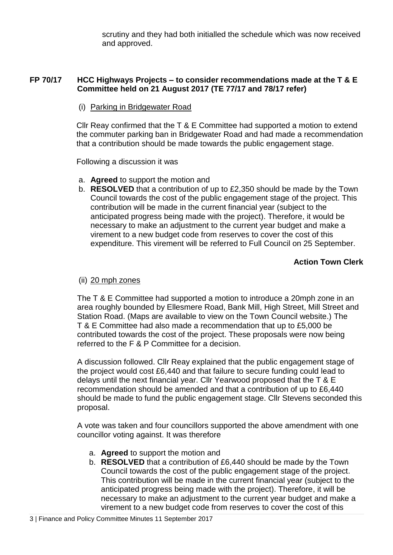scrutiny and they had both initialled the schedule which was now received and approved.

## **FP 70/17 HCC Highways Projects – to consider recommendations made at the T & E Committee held on 21 August 2017 (TE 77/17 and 78/17 refer)**

(i) Parking in Bridgewater Road

Cllr Reay confirmed that the T & E Committee had supported a motion to extend the commuter parking ban in Bridgewater Road and had made a recommendation that a contribution should be made towards the public engagement stage.

Following a discussion it was

- a. **Agreed** to support the motion and
- b. **RESOLVED** that a contribution of up to £2,350 should be made by the Town Council towards the cost of the public engagement stage of the project. This contribution will be made in the current financial year (subject to the anticipated progress being made with the project). Therefore, it would be necessary to make an adjustment to the current year budget and make a virement to a new budget code from reserves to cover the cost of this expenditure. This virement will be referred to Full Council on 25 September.

## **Action Town Clerk**

### (ii) 20 mph zones

The T & E Committee had supported a motion to introduce a 20mph zone in an area roughly bounded by Ellesmere Road, Bank Mill, High Street, Mill Street and Station Road. (Maps are available to view on the Town Council website.) The T & E Committee had also made a recommendation that up to £5,000 be contributed towards the cost of the project. These proposals were now being referred to the F & P Committee for a decision.

A discussion followed. Cllr Reay explained that the public engagement stage of the project would cost £6,440 and that failure to secure funding could lead to delays until the next financial year. Cllr Yearwood proposed that the T & E recommendation should be amended and that a contribution of up to £6,440 should be made to fund the public engagement stage. Cllr Stevens seconded this proposal.

A vote was taken and four councillors supported the above amendment with one councillor voting against. It was therefore

- a. **Agreed** to support the motion and
- b. **RESOLVED** that a contribution of £6,440 should be made by the Town Council towards the cost of the public engagement stage of the project. This contribution will be made in the current financial year (subject to the anticipated progress being made with the project). Therefore, it will be necessary to make an adjustment to the current year budget and make a virement to a new budget code from reserves to cover the cost of this